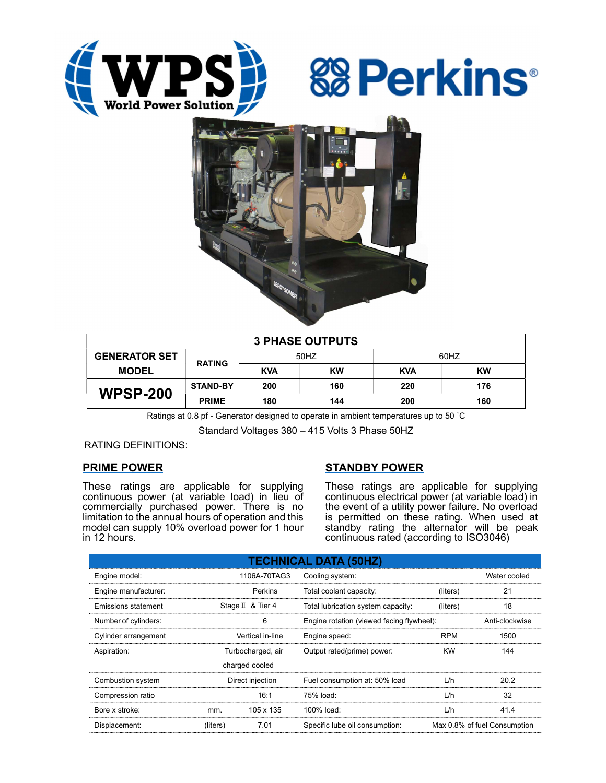





| <b>3 PHASE OUTPUTS</b> |                 |            |           |            |           |  |  |  |
|------------------------|-----------------|------------|-----------|------------|-----------|--|--|--|
| <b>GENERATOR SET</b>   | <b>RATING</b>   | 50HZ       |           | 60HZ       |           |  |  |  |
| <b>MODEL</b>           |                 | <b>KVA</b> | <b>KW</b> | <b>KVA</b> | <b>KW</b> |  |  |  |
| <b>WPSP-200</b>        | <b>STAND-BY</b> | 200        | 160       | 220        | 176       |  |  |  |
|                        | <b>PRIME</b>    | 180        | 144       | 200        | 160       |  |  |  |

Ratings at 0.8 pf - Generator designed to operate in ambient temperatures up to 50 °C

Standard Voltages 380 – 415 Volts 3 Phase 50HZ

RATING DEFINITIONS:

## PRIME POWER

These ratings are applicable for supplying continuous power (at variable load) in lieu of commercially purchased power. There is no limitation to the annual hours of operation and this model can supply 10% overload power for 1 hour in 12 hours.

# STANDBY POWER

These ratings are applicable for supplying continuous electrical power (at variable load) in the event of a utility power failure. No overload is permitted on these rating. When used at standby rating the alternator will be peak continuous rated (according to ISO3046)

| <b>TECHNICAL DATA (50HZ)</b> |                   |                   |                                           |                              |      |  |  |  |  |  |
|------------------------------|-------------------|-------------------|-------------------------------------------|------------------------------|------|--|--|--|--|--|
| Engine model:                |                   | 1106A-70TAG3      | Cooling system:                           | Water cooled                 |      |  |  |  |  |  |
| Engine manufacturer:         |                   | Perkins           | Total coolant capacity:<br>(liters)       |                              | 21   |  |  |  |  |  |
| Emissions statement          |                   | Stage II & Tier 4 | Total lubrication system capacity:        | (liters)                     | 18   |  |  |  |  |  |
| Number of cylinders:         |                   | 6                 | Engine rotation (viewed facing flywheel): | Anti-clockwise               |      |  |  |  |  |  |
| Cylinder arrangement         |                   | Vertical in-line  | Engine speed:                             | <b>RPM</b>                   | 1500 |  |  |  |  |  |
| Aspiration:                  | Turbocharged, air |                   | Output rated(prime) power:                | <b>KW</b>                    | 144  |  |  |  |  |  |
| charged cooled               |                   |                   |                                           |                              |      |  |  |  |  |  |
| Combustion system            |                   | Direct injection  | Fuel consumption at: 50% load             | L/h                          | 20.2 |  |  |  |  |  |
| Compression ratio            |                   | 16:1              | 75% load:                                 | L/h                          | 32   |  |  |  |  |  |
| Bore x stroke:               | mm.               | 105 x 135         | 100% load:                                | L/h                          | 41.4 |  |  |  |  |  |
| Displacement:                | (liters)          | 7.01              | Specific lube oil consumption:            | Max 0.8% of fuel Consumption |      |  |  |  |  |  |